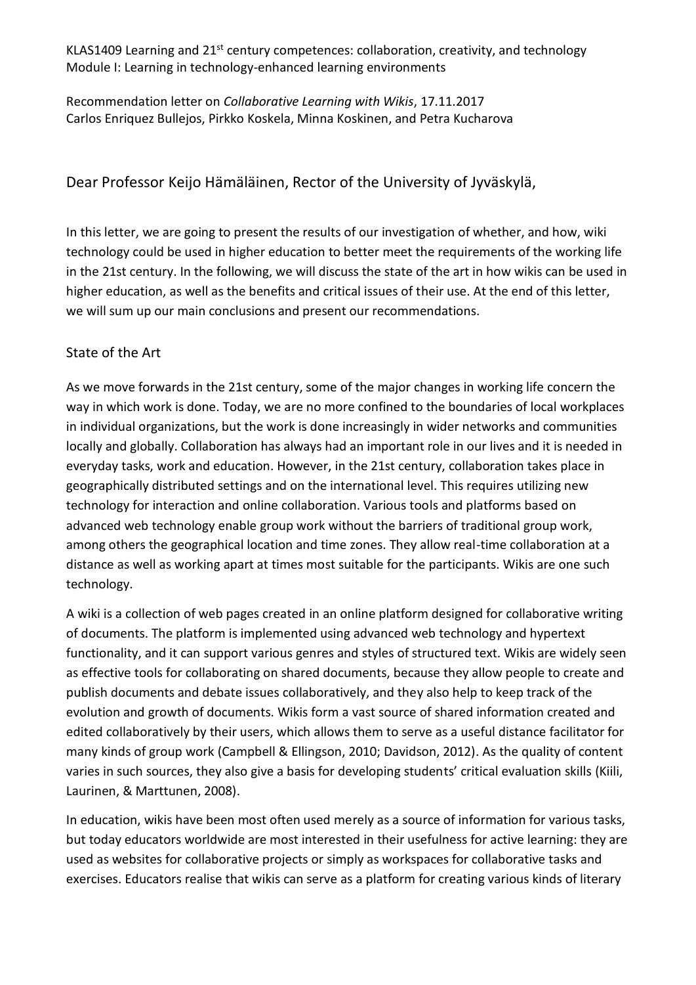KLAS1409 Learning and 21<sup>st</sup> century competences: collaboration, creativity, and technology Module I: Learning in technology-enhanced learning environments

Recommendation letter on *Collaborative Learning with Wikis*, 17.11.2017 Carlos Enriquez Bullejos, Pirkko Koskela, Minna Koskinen, and Petra Kucharova

# Dear Professor Keijo Hämäläinen, Rector of the University of Jyväskylä,

In this letter, we are going to present the results of our investigation of whether, and how, wiki technology could be used in higher education to better meet the requirements of the working life in the 21st century. In the following, we will discuss the state of the art in how wikis can be used in higher education, as well as the benefits and critical issues of their use. At the end of this letter, we will sum up our main conclusions and present our recommendations.

## State of the Art

As we move forwards in the 21st century, some of the major changes in working life concern the way in which work is done. Today, we are no more confined to the boundaries of local workplaces in individual organizations, but the work is done increasingly in wider networks and communities locally and globally. Collaboration has always had an important role in our lives and it is needed in everyday tasks, work and education. However, in the 21st century, collaboration takes place in geographically distributed settings and on the international level. This requires utilizing new technology for interaction and online collaboration. Various tools and platforms based on advanced web technology enable group work without the barriers of traditional group work, among others the geographical location and time zones. They allow real-time collaboration at a distance as well as working apart at times most suitable for the participants. Wikis are one such technology.

A wiki is a collection of web pages created in an online platform designed for collaborative writing of documents. The platform is implemented using advanced web technology and hypertext functionality, and it can support various genres and styles of structured text. Wikis are widely seen as effective tools for collaborating on shared documents, because they allow people to create and publish documents and debate issues collaboratively, and they also help to keep track of the evolution and growth of documents. Wikis form a vast source of shared information created and edited collaboratively by their users, which allows them to serve as a useful distance facilitator for many kinds of group work (Campbell & Ellingson, 2010; Davidson, 2012). As the quality of content varies in such sources, they also give a basis for developing students' critical evaluation skills (Kiili, Laurinen, & Marttunen, 2008).

In education, wikis have been most often used merely as a source of information for various tasks, but today educators worldwide are most interested in their usefulness for active learning: they are used as websites for collaborative projects or simply as workspaces for collaborative tasks and exercises. Educators realise that wikis can serve as a platform for creating various kinds of literary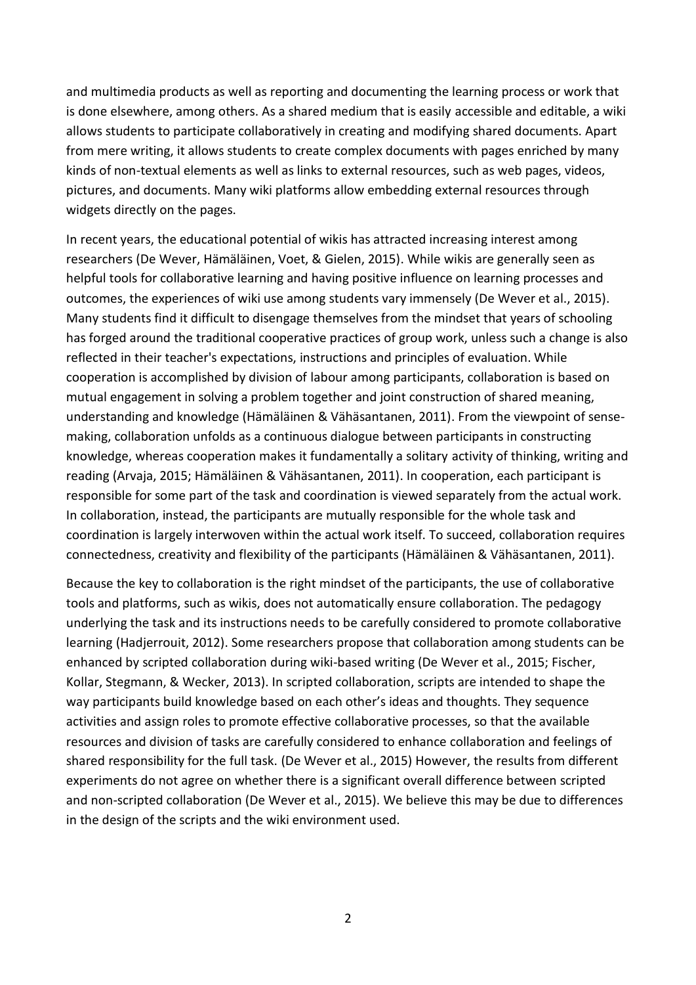and multimedia products as well as reporting and documenting the learning process or work that is done elsewhere, among others. As a shared medium that is easily accessible and editable, a wiki allows students to participate collaboratively in creating and modifying shared documents. Apart from mere writing, it allows students to create complex documents with pages enriched by many kinds of non-textual elements as well as links to external resources, such as web pages, videos, pictures, and documents. Many wiki platforms allow embedding external resources through widgets directly on the pages.

In recent years, the educational potential of wikis has attracted increasing interest among researchers (De Wever, Hämäläinen, Voet, & Gielen, 2015). While wikis are generally seen as helpful tools for collaborative learning and having positive influence on learning processes and outcomes, the experiences of wiki use among students vary immensely (De Wever et al., 2015). Many students find it difficult to disengage themselves from the mindset that years of schooling has forged around the traditional cooperative practices of group work, unless such a change is also reflected in their teacher's expectations, instructions and principles of evaluation. While cooperation is accomplished by division of labour among participants, collaboration is based on mutual engagement in solving a problem together and joint construction of shared meaning, understanding and knowledge (Hämäläinen & Vähäsantanen, 2011). From the viewpoint of sensemaking, collaboration unfolds as a continuous dialogue between participants in constructing knowledge, whereas cooperation makes it fundamentally a solitary activity of thinking, writing and reading (Arvaja, 2015; Hämäläinen & Vähäsantanen, 2011). In cooperation, each participant is responsible for some part of the task and coordination is viewed separately from the actual work. In collaboration, instead, the participants are mutually responsible for the whole task and coordination is largely interwoven within the actual work itself. To succeed, collaboration requires connectedness, creativity and flexibility of the participants (Hämäläinen & Vähäsantanen, 2011).

Because the key to collaboration is the right mindset of the participants, the use of collaborative tools and platforms, such as wikis, does not automatically ensure collaboration. The pedagogy underlying the task and its instructions needs to be carefully considered to promote collaborative learning (Hadjerrouit, 2012). Some researchers propose that collaboration among students can be enhanced by scripted collaboration during wiki-based writing (De Wever et al., 2015; Fischer, Kollar, Stegmann, & Wecker, 2013). In scripted collaboration, scripts are intended to shape the way participants build knowledge based on each other's ideas and thoughts. They sequence activities and assign roles to promote effective collaborative processes, so that the available resources and division of tasks are carefully considered to enhance collaboration and feelings of shared responsibility for the full task. (De Wever et al., 2015) However, the results from different experiments do not agree on whether there is a significant overall difference between scripted and non-scripted collaboration (De Wever et al., 2015). We believe this may be due to differences in the design of the scripts and the wiki environment used.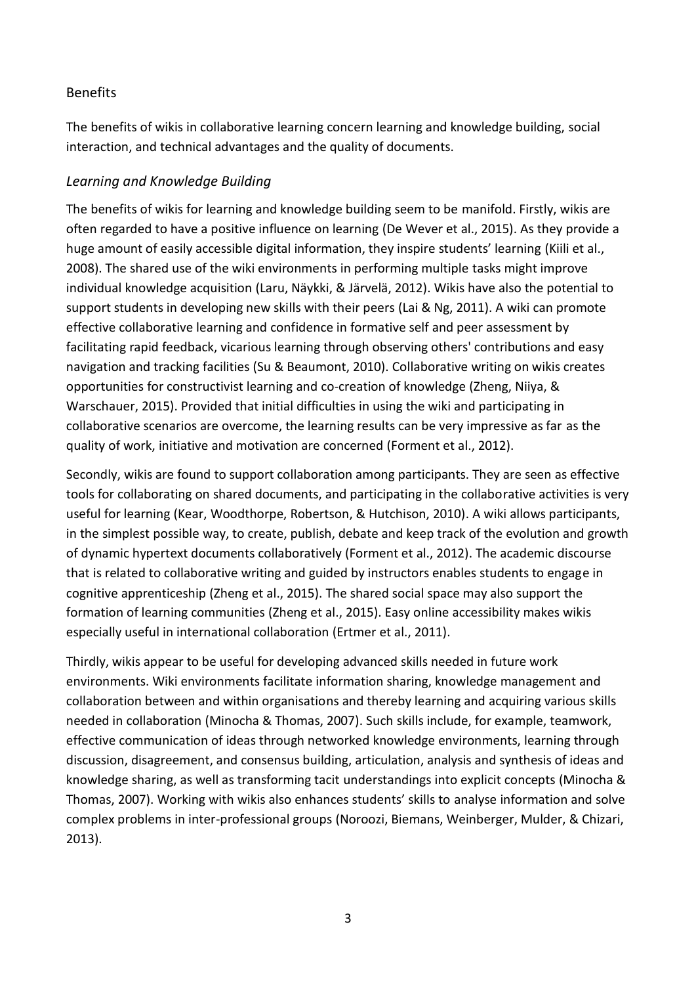#### **Benefits**

The benefits of wikis in collaborative learning concern learning and knowledge building, social interaction, and technical advantages and the quality of documents.

#### *Learning and Knowledge Building*

The benefits of wikis for learning and knowledge building seem to be manifold. Firstly, wikis are often regarded to have a positive influence on learning (De Wever et al., 2015). As they provide a huge amount of easily accessible digital information, they inspire students' learning (Kiili et al., 2008). The shared use of the wiki environments in performing multiple tasks might improve individual knowledge acquisition (Laru, Näykki, & Järvelä, 2012). Wikis have also the potential to support students in developing new skills with their peers (Lai & Ng, 2011). A wiki can promote effective collaborative learning and confidence in formative self and peer assessment by facilitating rapid feedback, vicarious learning through observing others' contributions and easy navigation and tracking facilities (Su & Beaumont, 2010). Collaborative writing on wikis creates opportunities for constructivist learning and co-creation of knowledge (Zheng, Niiya, & Warschauer, 2015). Provided that initial difficulties in using the wiki and participating in collaborative scenarios are overcome, the learning results can be very impressive as far as the quality of work, initiative and motivation are concerned (Forment et al., 2012).

Secondly, wikis are found to support collaboration among participants. They are seen as effective tools for collaborating on shared documents, and participating in the collaborative activities is very useful for learning (Kear, Woodthorpe, Robertson, & Hutchison, 2010). A wiki allows participants, in the simplest possible way, to create, publish, debate and keep track of the evolution and growth of dynamic hypertext documents collaboratively (Forment et al., 2012). The academic discourse that is related to collaborative writing and guided by instructors enables students to engage in cognitive apprenticeship (Zheng et al., 2015). The shared social space may also support the formation of learning communities (Zheng et al., 2015). Easy online accessibility makes wikis especially useful in international collaboration (Ertmer et al., 2011).

Thirdly, wikis appear to be useful for developing advanced skills needed in future work environments. Wiki environments facilitate information sharing, knowledge management and collaboration between and within organisations and thereby learning and acquiring various skills needed in collaboration (Minocha & Thomas, 2007). Such skills include, for example, teamwork, effective communication of ideas through networked knowledge environments, learning through discussion, disagreement, and consensus building, articulation, analysis and synthesis of ideas and knowledge sharing, as well as transforming tacit understandings into explicit concepts (Minocha & Thomas, 2007). Working with wikis also enhances students' skills to analyse information and solve complex problems in inter-professional groups (Noroozi, Biemans, Weinberger, Mulder, & Chizari, 2013).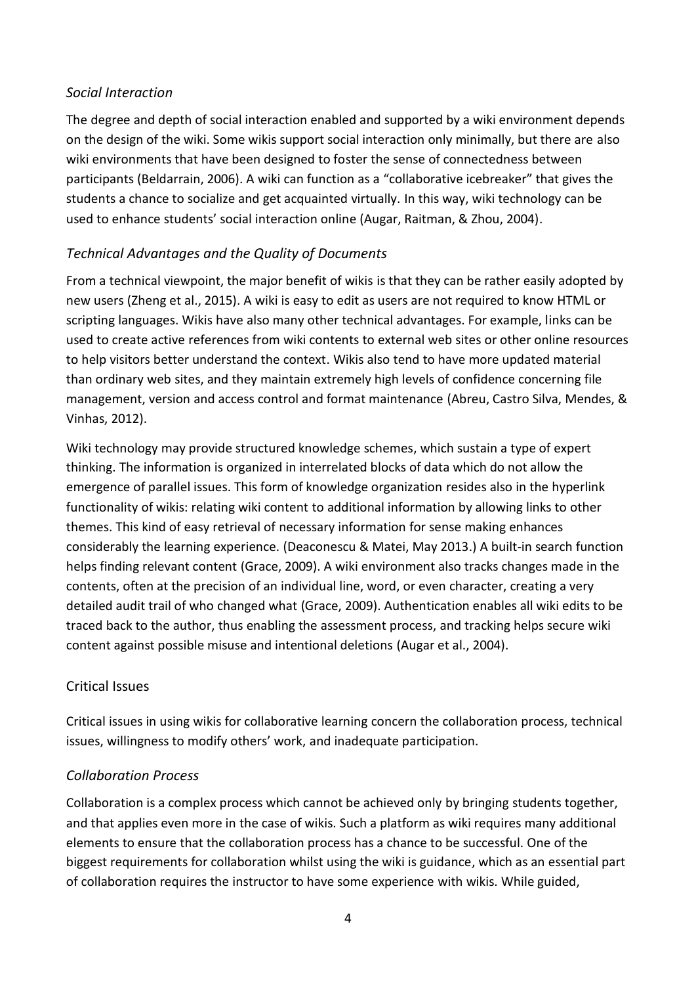#### *Social Interaction*

The degree and depth of social interaction enabled and supported by a wiki environment depends on the design of the wiki. Some wikis support social interaction only minimally, but there are also wiki environments that have been designed to foster the sense of connectedness between participants (Beldarrain, 2006). A wiki can function as a "collaborative icebreaker" that gives the students a chance to socialize and get acquainted virtually. In this way, wiki technology can be used to enhance students' social interaction online (Augar, Raitman, & Zhou, 2004).

# *Technical Advantages and the Quality of Documents*

From a technical viewpoint, the major benefit of wikis is that they can be rather easily adopted by new users (Zheng et al., 2015). A wiki is easy to edit as users are not required to know HTML or scripting languages. Wikis have also many other technical advantages. For example, links can be used to create active references from wiki contents to external web sites or other online resources to help visitors better understand the context. Wikis also tend to have more updated material than ordinary web sites, and they maintain extremely high levels of confidence concerning file management, version and access control and format maintenance (Abreu, Castro Silva, Mendes, & Vinhas, 2012).

Wiki technology may provide structured knowledge schemes, which sustain a type of expert thinking. The information is organized in interrelated blocks of data which do not allow the emergence of parallel issues. This form of knowledge organization resides also in the hyperlink functionality of wikis: relating wiki content to additional information by allowing links to other themes. This kind of easy retrieval of necessary information for sense making enhances considerably the learning experience. (Deaconescu & Matei, May 2013.) A built-in search function helps finding relevant content (Grace, 2009). A wiki environment also tracks changes made in the contents, often at the precision of an individual line, word, or even character, creating a very detailed audit trail of who changed what (Grace, 2009). Authentication enables all wiki edits to be traced back to the author, thus enabling the assessment process, and tracking helps secure wiki content against possible misuse and intentional deletions (Augar et al., 2004).

## Critical Issues

Critical issues in using wikis for collaborative learning concern the collaboration process, technical issues, willingness to modify others' work, and inadequate participation.

## *Collaboration Process*

Collaboration is a complex process which cannot be achieved only by bringing students together, and that applies even more in the case of wikis. Such a platform as wiki requires many additional elements to ensure that the collaboration process has a chance to be successful. One of the biggest requirements for collaboration whilst using the wiki is guidance, which as an essential part of collaboration requires the instructor to have some experience with wikis. While guided,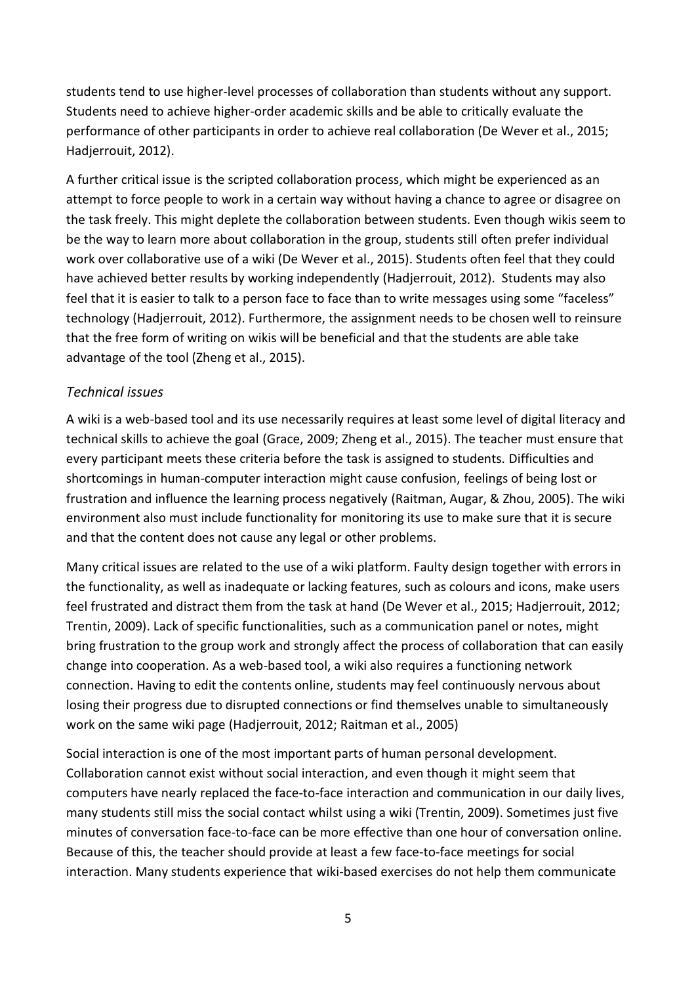students tend to use higher-level processes of collaboration than students without any support. Students need to achieve higher-order academic skills and be able to critically evaluate the performance of other participants in order to achieve real collaboration (De Wever et al., 2015; Hadjerrouit, 2012).

A further critical issue is the scripted collaboration process, which might be experienced as an attempt to force people to work in a certain way without having a chance to agree or disagree on the task freely. This might deplete the collaboration between students. Even though wikis seem to be the way to learn more about collaboration in the group, students still often prefer individual work over collaborative use of a wiki (De Wever et al., 2015). Students often feel that they could have achieved better results by working independently (Hadjerrouit, 2012). Students may also feel that it is easier to talk to a person face to face than to write messages using some "faceless" technology (Hadjerrouit, 2012). Furthermore, the assignment needs to be chosen well to reinsure that the free form of writing on wikis will be beneficial and that the students are able take advantage of the tool (Zheng et al., 2015).

## *Technical issues*

A wiki is a web-based tool and its use necessarily requires at least some level of digital literacy and technical skills to achieve the goal (Grace, 2009; Zheng et al., 2015). The teacher must ensure that every participant meets these criteria before the task is assigned to students. Difficulties and shortcomings in human-computer interaction might cause confusion, feelings of being lost or frustration and influence the learning process negatively (Raitman, Augar, & Zhou, 2005). The wiki environment also must include functionality for monitoring its use to make sure that it is secure and that the content does not cause any legal or other problems.

Many critical issues are related to the use of a wiki platform. Faulty design together with errors in the functionality, as well as inadequate or lacking features, such as colours and icons, make users feel frustrated and distract them from the task at hand (De Wever et al., 2015; Hadjerrouit, 2012; Trentin, 2009). Lack of specific functionalities, such as a communication panel or notes, might bring frustration to the group work and strongly affect the process of collaboration that can easily change into cooperation. As a web-based tool, a wiki also requires a functioning network connection. Having to edit the contents online, students may feel continuously nervous about losing their progress due to disrupted connections or find themselves unable to simultaneously work on the same wiki page (Hadjerrouit, 2012; Raitman et al., 2005)

Social interaction is one of the most important parts of human personal development. Collaboration cannot exist without social interaction, and even though it might seem that computers have nearly replaced the face-to-face interaction and communication in our daily lives, many students still miss the social contact whilst using a wiki (Trentin, 2009). Sometimes just five minutes of conversation face-to-face can be more effective than one hour of conversation online. Because of this, the teacher should provide at least a few face-to-face meetings for social interaction. Many students experience that wiki-based exercises do not help them communicate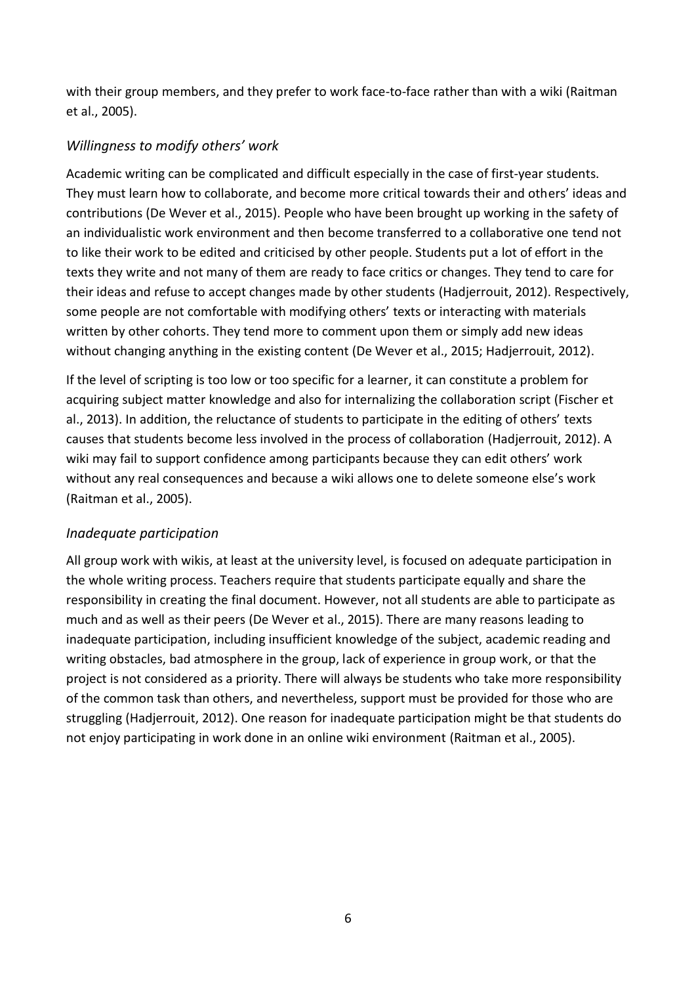with their group members, and they prefer to work face-to-face rather than with a wiki (Raitman et al., 2005).

# *Willingness to modify others' work*

Academic writing can be complicated and difficult especially in the case of first-year students. They must learn how to collaborate, and become more critical towards their and others' ideas and contributions (De Wever et al., 2015). People who have been brought up working in the safety of an individualistic work environment and then become transferred to a collaborative one tend not to like their work to be edited and criticised by other people. Students put a lot of effort in the texts they write and not many of them are ready to face critics or changes. They tend to care for their ideas and refuse to accept changes made by other students (Hadjerrouit, 2012). Respectively, some people are not comfortable with modifying others' texts or interacting with materials written by other cohorts. They tend more to comment upon them or simply add new ideas without changing anything in the existing content (De Wever et al., 2015; Hadjerrouit, 2012).

If the level of scripting is too low or too specific for a learner, it can constitute a problem for acquiring subject matter knowledge and also for internalizing the collaboration script (Fischer et al., 2013). In addition, the reluctance of students to participate in the editing of others' texts causes that students become less involved in the process of collaboration (Hadjerrouit, 2012). A wiki may fail to support confidence among participants because they can edit others' work without any real consequences and because a wiki allows one to delete someone else's work (Raitman et al., 2005).

## *Inadequate participation*

All group work with wikis, at least at the university level, is focused on adequate participation in the whole writing process. Teachers require that students participate equally and share the responsibility in creating the final document. However, not all students are able to participate as much and as well as their peers (De Wever et al., 2015). There are many reasons leading to inadequate participation, including insufficient knowledge of the subject, academic reading and writing obstacles, bad atmosphere in the group, lack of experience in group work, or that the project is not considered as a priority. There will always be students who take more responsibility of the common task than others, and nevertheless, support must be provided for those who are struggling (Hadjerrouit, 2012). One reason for inadequate participation might be that students do not enjoy participating in work done in an online wiki environment (Raitman et al., 2005).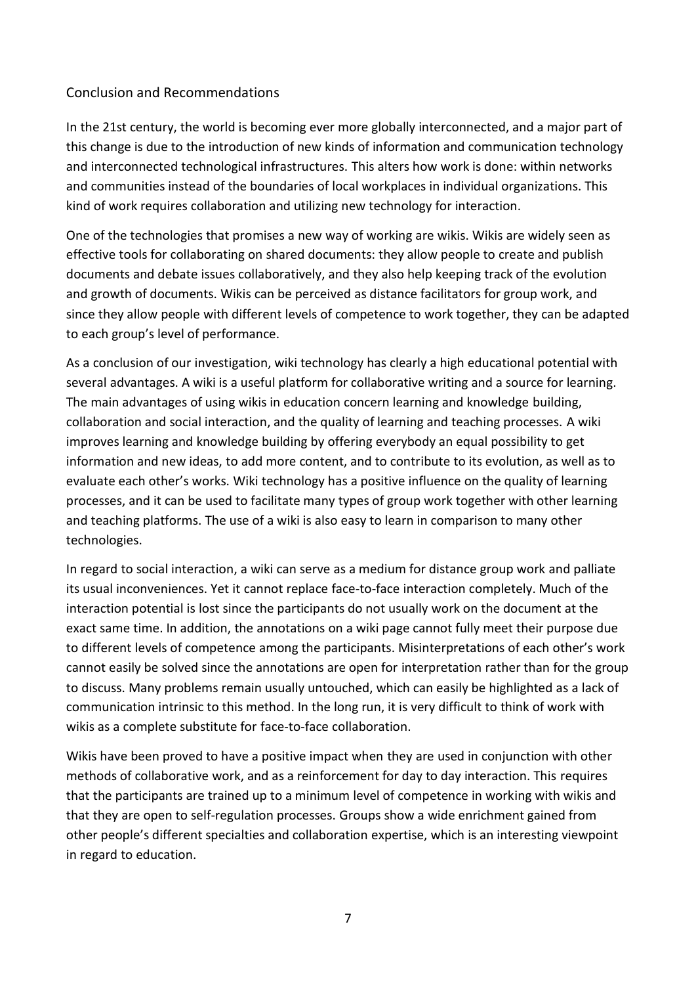#### Conclusion and Recommendations

In the 21st century, the world is becoming ever more globally interconnected, and a major part of this change is due to the introduction of new kinds of information and communication technology and interconnected technological infrastructures. This alters how work is done: within networks and communities instead of the boundaries of local workplaces in individual organizations. This kind of work requires collaboration and utilizing new technology for interaction.

One of the technologies that promises a new way of working are wikis. Wikis are widely seen as effective tools for collaborating on shared documents: they allow people to create and publish documents and debate issues collaboratively, and they also help keeping track of the evolution and growth of documents. Wikis can be perceived as distance facilitators for group work, and since they allow people with different levels of competence to work together, they can be adapted to each group's level of performance.

As a conclusion of our investigation, wiki technology has clearly a high educational potential with several advantages. A wiki is a useful platform for collaborative writing and a source for learning. The main advantages of using wikis in education concern learning and knowledge building, collaboration and social interaction, and the quality of learning and teaching processes. A wiki improves learning and knowledge building by offering everybody an equal possibility to get information and new ideas, to add more content, and to contribute to its evolution, as well as to evaluate each other's works. Wiki technology has a positive influence on the quality of learning processes, and it can be used to facilitate many types of group work together with other learning and teaching platforms. The use of a wiki is also easy to learn in comparison to many other technologies.

In regard to social interaction, a wiki can serve as a medium for distance group work and palliate its usual inconveniences. Yet it cannot replace face-to-face interaction completely. Much of the interaction potential is lost since the participants do not usually work on the document at the exact same time. In addition, the annotations on a wiki page cannot fully meet their purpose due to different levels of competence among the participants. Misinterpretations of each other's work cannot easily be solved since the annotations are open for interpretation rather than for the group to discuss. Many problems remain usually untouched, which can easily be highlighted as a lack of communication intrinsic to this method. In the long run, it is very difficult to think of work with wikis as a complete substitute for face-to-face collaboration.

Wikis have been proved to have a positive impact when they are used in conjunction with other methods of collaborative work, and as a reinforcement for day to day interaction. This requires that the participants are trained up to a minimum level of competence in working with wikis and that they are open to self-regulation processes. Groups show a wide enrichment gained from other people's different specialties and collaboration expertise, which is an interesting viewpoint in regard to education.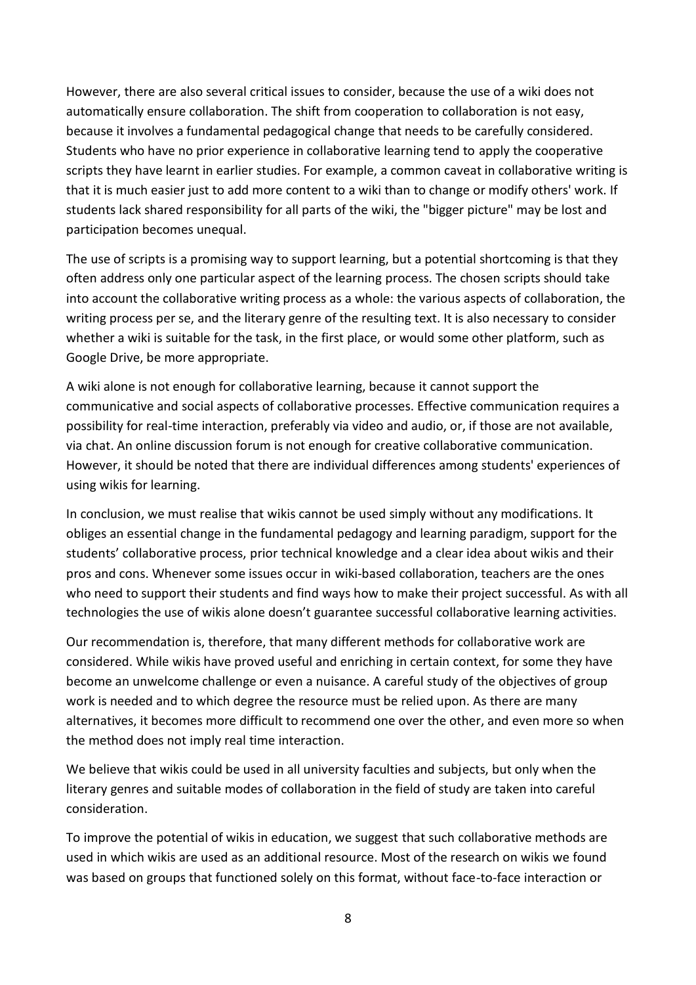However, there are also several critical issues to consider, because the use of a wiki does not automatically ensure collaboration. The shift from cooperation to collaboration is not easy, because it involves a fundamental pedagogical change that needs to be carefully considered. Students who have no prior experience in collaborative learning tend to apply the cooperative scripts they have learnt in earlier studies. For example, a common caveat in collaborative writing is that it is much easier just to add more content to a wiki than to change or modify others' work. If students lack shared responsibility for all parts of the wiki, the "bigger picture" may be lost and participation becomes unequal.

The use of scripts is a promising way to support learning, but a potential shortcoming is that they often address only one particular aspect of the learning process. The chosen scripts should take into account the collaborative writing process as a whole: the various aspects of collaboration, the writing process per se, and the literary genre of the resulting text. It is also necessary to consider whether a wiki is suitable for the task, in the first place, or would some other platform, such as Google Drive, be more appropriate.

A wiki alone is not enough for collaborative learning, because it cannot support the communicative and social aspects of collaborative processes. Effective communication requires a possibility for real-time interaction, preferably via video and audio, or, if those are not available, via chat. An online discussion forum is not enough for creative collaborative communication. However, it should be noted that there are individual differences among students' experiences of using wikis for learning.

In conclusion, we must realise that wikis cannot be used simply without any modifications. It obliges an essential change in the fundamental pedagogy and learning paradigm, support for the students' collaborative process, prior technical knowledge and a clear idea about wikis and their pros and cons. Whenever some issues occur in wiki-based collaboration, teachers are the ones who need to support their students and find ways how to make their project successful. As with all technologies the use of wikis alone doesn't guarantee successful collaborative learning activities.

Our recommendation is, therefore, that many different methods for collaborative work are considered. While wikis have proved useful and enriching in certain context, for some they have become an unwelcome challenge or even a nuisance. A careful study of the objectives of group work is needed and to which degree the resource must be relied upon. As there are many alternatives, it becomes more difficult to recommend one over the other, and even more so when the method does not imply real time interaction.

We believe that wikis could be used in all university faculties and subjects, but only when the literary genres and suitable modes of collaboration in the field of study are taken into careful consideration.

To improve the potential of wikis in education, we suggest that such collaborative methods are used in which wikis are used as an additional resource. Most of the research on wikis we found was based on groups that functioned solely on this format, without face-to-face interaction or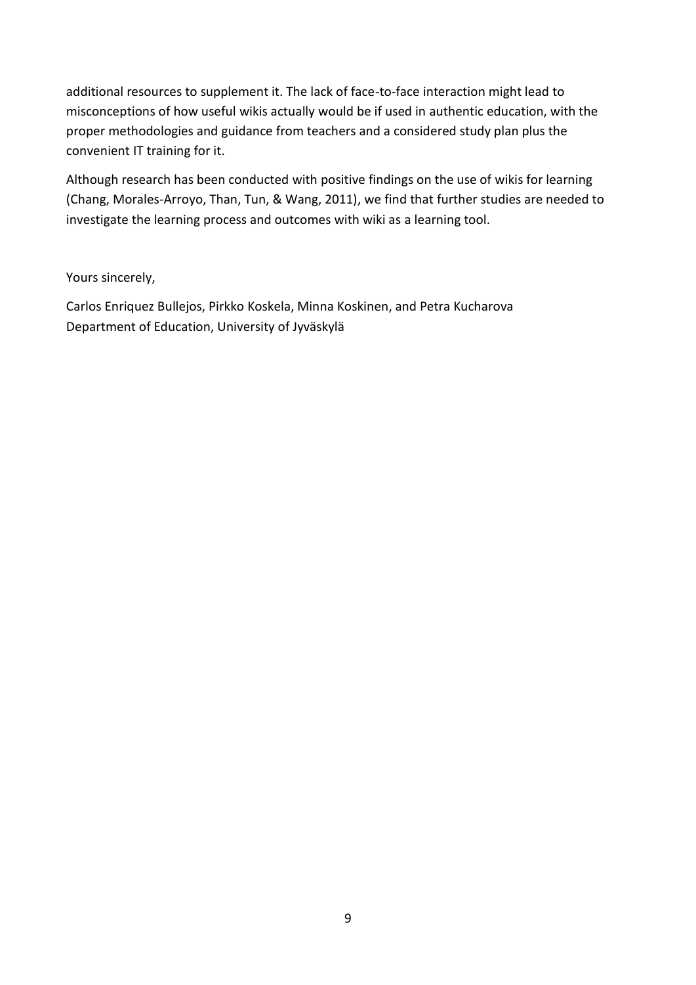additional resources to supplement it. The lack of face-to-face interaction might lead to misconceptions of how useful wikis actually would be if used in authentic education, with the proper methodologies and guidance from teachers and a considered study plan plus the convenient IT training for it.

Although research has been conducted with positive findings on the use of wikis for learning (Chang, Morales-Arroyo, Than, Tun, & Wang, 2011), we find that further studies are needed to investigate the learning process and outcomes with wiki as a learning tool.

Yours sincerely,

Carlos Enriquez Bullejos, Pirkko Koskela, Minna Koskinen, and Petra Kucharova Department of Education, University of Jyväskylä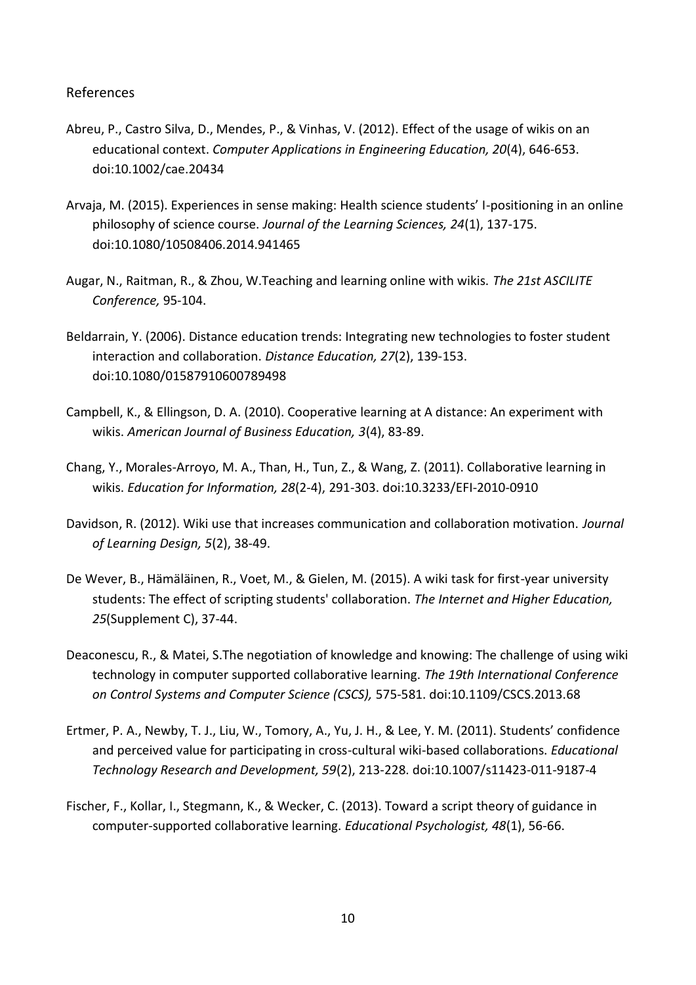#### References

- Abreu, P., Castro Silva, D., Mendes, P., & Vinhas, V. (2012). Effect of the usage of wikis on an educational context. *Computer Applications in Engineering Education, 20*(4), 646-653. doi:10.1002/cae.20434
- Arvaja, M. (2015). Experiences in sense making: Health science students' I-positioning in an online philosophy of science course. *Journal of the Learning Sciences, 24*(1), 137-175. doi:10.1080/10508406.2014.941465
- Augar, N., Raitman, R., & Zhou, W.Teaching and learning online with wikis. *The 21st ASCILITE Conference,* 95-104.
- Beldarrain, Y. (2006). Distance education trends: Integrating new technologies to foster student interaction and collaboration. *Distance Education, 27*(2), 139-153. doi:10.1080/01587910600789498
- Campbell, K., & Ellingson, D. A. (2010). Cooperative learning at A distance: An experiment with wikis. *American Journal of Business Education, 3*(4), 83-89.
- Chang, Y., Morales-Arroyo, M. A., Than, H., Tun, Z., & Wang, Z. (2011). Collaborative learning in wikis. *Education for Information, 28*(2-4), 291-303. doi:10.3233/EFI-2010-0910
- Davidson, R. (2012). Wiki use that increases communication and collaboration motivation. *Journal of Learning Design, 5*(2), 38-49.
- De Wever, B., Hämäläinen, R., Voet, M., & Gielen, M. (2015). A wiki task for first-year university students: The effect of scripting students' collaboration. *The Internet and Higher Education, 25*(Supplement C), 37-44.
- Deaconescu, R., & Matei, S.The negotiation of knowledge and knowing: The challenge of using wiki technology in computer supported collaborative learning. *The 19th International Conference on Control Systems and Computer Science (CSCS),* 575-581. doi:10.1109/CSCS.2013.68
- Ertmer, P. A., Newby, T. J., Liu, W., Tomory, A., Yu, J. H., & Lee, Y. M. (2011). Students' confidence and perceived value for participating in cross-cultural wiki-based collaborations. *Educational Technology Research and Development, 59*(2), 213-228. doi:10.1007/s11423-011-9187-4
- Fischer, F., Kollar, I., Stegmann, K., & Wecker, C. (2013). Toward a script theory of guidance in computer-supported collaborative learning. *Educational Psychologist, 48*(1), 56-66.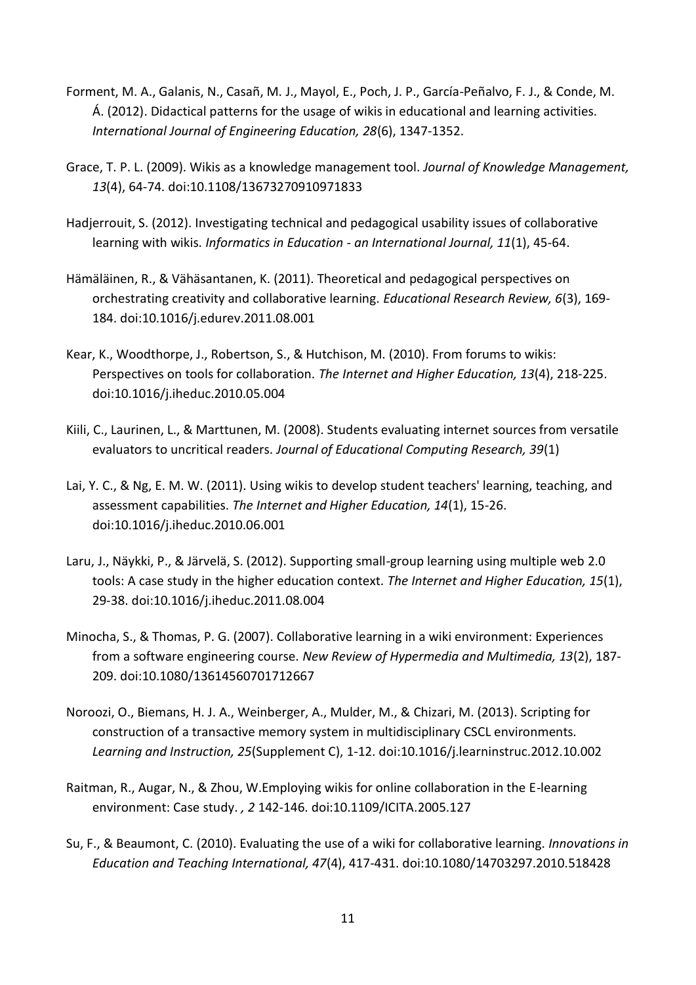- Forment, M. A., Galanis, N., Casañ, M. J., Mayol, E., Poch, J. P., García-Peñalvo, F. J., & Conde, M. Á. (2012). Didactical patterns for the usage of wikis in educational and learning activities. *International Journal of Engineering Education, 28*(6), 1347-1352.
- Grace, T. P. L. (2009). Wikis as a knowledge management tool. *Journal of Knowledge Management, 13*(4), 64-74. doi:10.1108/13673270910971833
- Hadjerrouit, S. (2012). Investigating technical and pedagogical usability issues of collaborative learning with wikis. *Informatics in Education - an International Journal, 11*(1), 45-64.
- Hämäläinen, R., & Vähäsantanen, K. (2011). Theoretical and pedagogical perspectives on orchestrating creativity and collaborative learning. *Educational Research Review, 6*(3), 169- 184. doi:10.1016/j.edurev.2011.08.001
- Kear, K., Woodthorpe, J., Robertson, S., & Hutchison, M. (2010). From forums to wikis: Perspectives on tools for collaboration. *The Internet and Higher Education, 13*(4), 218-225. doi:10.1016/j.iheduc.2010.05.004
- Kiili, C., Laurinen, L., & Marttunen, M. (2008). Students evaluating internet sources from versatile evaluators to uncritical readers. *Journal of Educational Computing Research, 39*(1)
- Lai, Y. C., & Ng, E. M. W. (2011). Using wikis to develop student teachers' learning, teaching, and assessment capabilities. *The Internet and Higher Education, 14*(1), 15-26. doi:10.1016/j.iheduc.2010.06.001
- Laru, J., Näykki, P., & Järvelä, S. (2012). Supporting small-group learning using multiple web 2.0 tools: A case study in the higher education context. *The Internet and Higher Education, 15*(1), 29-38. doi:10.1016/j.iheduc.2011.08.004
- Minocha, S., & Thomas, P. G. (2007). Collaborative learning in a wiki environment: Experiences from a software engineering course. *New Review of Hypermedia and Multimedia, 13*(2), 187- 209. doi:10.1080/13614560701712667
- Noroozi, O., Biemans, H. J. A., Weinberger, A., Mulder, M., & Chizari, M. (2013). Scripting for construction of a transactive memory system in multidisciplinary CSCL environments. *Learning and Instruction, 25*(Supplement C), 1-12. doi:10.1016/j.learninstruc.2012.10.002
- Raitman, R., Augar, N., & Zhou, W.Employing wikis for online collaboration in the E-learning environment: Case study. *, 2* 142-146. doi:10.1109/ICITA.2005.127
- Su, F., & Beaumont, C. (2010). Evaluating the use of a wiki for collaborative learning. *Innovations in Education and Teaching International, 47*(4), 417-431. doi:10.1080/14703297.2010.518428